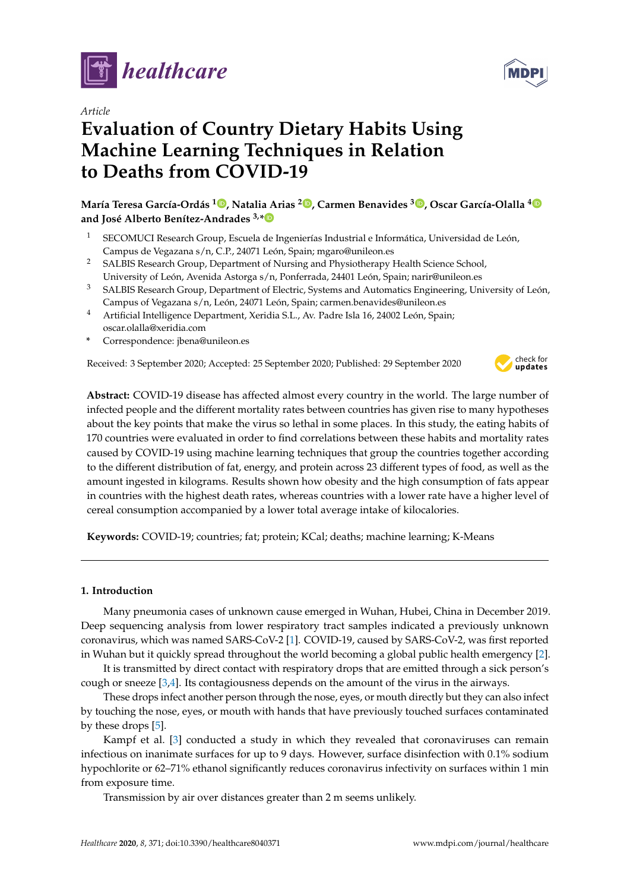

*Article*

# **Evaluation of Country Dietary Habits Using Machine Learning Techniques in Relation to Deaths from COVID-19**

**María Teresa García-Ordás <sup>1</sup> [,](https://orcid.org/0000-0002-3796-3949) Natalia Arias <sup>2</sup> [,](https://orcid.org/0000-0002-5333-2653) Carmen Benavides <sup>3</sup> [,](https://orcid.org/0000-0002-6514-6858) Oscar García-Olalla [4](https://orcid.org/0000-0001-7540-2985) and José Alberto Benítez-Andrades 3,[\\*](https://orcid.org/0000-0002-4450-349X)**

- <sup>1</sup> SECOMUCI Research Group, Escuela de Ingenierías Industrial e Informática, Universidad de León, Campus de Vegazana s/n, C.P., 24071 León, Spain; mgaro@unileon.es
- <sup>2</sup> SALBIS Research Group, Department of Nursing and Physiotherapy Health Science School, University of León, Avenida Astorga s/n, Ponferrada, 24401 León, Spain; narir@unileon.es
- <sup>3</sup> SALBIS Research Group, Department of Electric, Systems and Automatics Engineering, University of León, Campus of Vegazana s/n, León, 24071 León, Spain; carmen.benavides@unileon.es
- <sup>4</sup> Artificial Intelligence Department, Xeridia S.L., Av. Padre Isla 16, 24002 León, Spain; oscar.olalla@xeridia.com
- **\*** Correspondence: jbena@unileon.es

Received: 3 September 2020; Accepted: 25 September 2020; Published: 29 September 2020



**Abstract:** COVID-19 disease has affected almost every country in the world. The large number of infected people and the different mortality rates between countries has given rise to many hypotheses about the key points that make the virus so lethal in some places. In this study, the eating habits of 170 countries were evaluated in order to find correlations between these habits and mortality rates caused by COVID-19 using machine learning techniques that group the countries together according to the different distribution of fat, energy, and protein across 23 different types of food, as well as the amount ingested in kilograms. Results shown how obesity and the high consumption of fats appear in countries with the highest death rates, whereas countries with a lower rate have a higher level of cereal consumption accompanied by a lower total average intake of kilocalories.

**Keywords:** COVID-19; countries; fat; protein; KCal; deaths; machine learning; K-Means

# **1. Introduction**

Many pneumonia cases of unknown cause emerged in Wuhan, Hubei, China in December 2019. Deep sequencing analysis from lower respiratory tract samples indicated a previously unknown coronavirus, which was named SARS-CoV-2 [\[1\]](#page-8-0). COVID-19, caused by SARS-CoV-2, was first reported in Wuhan but it quickly spread throughout the world becoming a global public health emergency [\[2\]](#page-8-1).

It is transmitted by direct contact with respiratory drops that are emitted through a sick person's cough or sneeze [\[3,](#page-8-2)[4\]](#page-8-3). Its contagiousness depends on the amount of the virus in the airways.

These drops infect another person through the nose, eyes, or mouth directly but they can also infect by touching the nose, eyes, or mouth with hands that have previously touched surfaces contaminated by these drops [\[5\]](#page-8-4).

Kampf et al. [\[3\]](#page-8-2) conducted a study in which they revealed that coronaviruses can remain infectious on inanimate surfaces for up to 9 days. However, surface disinfection with 0.1% sodium hypochlorite or 62–71% ethanol significantly reduces coronavirus infectivity on surfaces within 1 min from exposure time.

Transmission by air over distances greater than 2 m seems unlikely.

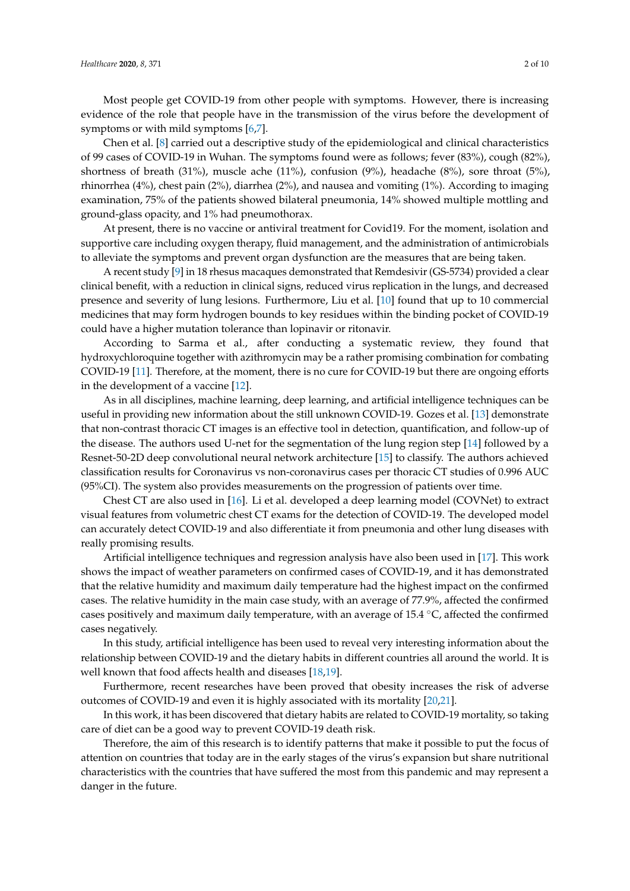Most people get COVID-19 from other people with symptoms. However, there is increasing evidence of the role that people have in the transmission of the virus before the development of symptoms or with mild symptoms [\[6,](#page-8-5)[7\]](#page-8-6).

Chen et al. [\[8\]](#page-8-7) carried out a descriptive study of the epidemiological and clinical characteristics of 99 cases of COVID-19 in Wuhan. The symptoms found were as follows; fever (83%), cough (82%), shortness of breath (31%), muscle ache (11%), confusion (9%), headache (8%), sore throat (5%), rhinorrhea (4%), chest pain (2%), diarrhea (2%), and nausea and vomiting (1%). According to imaging examination, 75% of the patients showed bilateral pneumonia, 14% showed multiple mottling and ground-glass opacity, and 1% had pneumothorax.

At present, there is no vaccine or antiviral treatment for Covid19. For the moment, isolation and supportive care including oxygen therapy, fluid management, and the administration of antimicrobials to alleviate the symptoms and prevent organ dysfunction are the measures that are being taken.

A recent study [\[9\]](#page-8-8) in 18 rhesus macaques demonstrated that Remdesivir (GS-5734) provided a clear clinical benefit, with a reduction in clinical signs, reduced virus replication in the lungs, and decreased presence and severity of lung lesions. Furthermore, Liu et al. [\[10\]](#page-8-9) found that up to 10 commercial medicines that may form hydrogen bounds to key residues within the binding pocket of COVID-19 could have a higher mutation tolerance than lopinavir or ritonavir.

According to Sarma et al., after conducting a systematic review, they found that hydroxychloroquine together with azithromycin may be a rather promising combination for combating COVID-19 [\[11\]](#page-8-10). Therefore, at the moment, there is no cure for COVID-19 but there are ongoing efforts in the development of a vaccine [\[12\]](#page-8-11).

As in all disciplines, machine learning, deep learning, and artificial intelligence techniques can be useful in providing new information about the still unknown COVID-19. Gozes et al. [\[13\]](#page-8-12) demonstrate that non-contrast thoracic CT images is an effective tool in detection, quantification, and follow-up of the disease. The authors used U-net for the segmentation of the lung region step [\[14\]](#page-8-13) followed by a Resnet-50-2D deep convolutional neural network architecture [\[15\]](#page-9-0) to classify. The authors achieved classification results for Coronavirus vs non-coronavirus cases per thoracic CT studies of 0.996 AUC (95%CI). The system also provides measurements on the progression of patients over time.

Chest CT are also used in [\[16\]](#page-9-1). Li et al. developed a deep learning model (COVNet) to extract visual features from volumetric chest CT exams for the detection of COVID-19. The developed model can accurately detect COVID-19 and also differentiate it from pneumonia and other lung diseases with really promising results.

Artificial intelligence techniques and regression analysis have also been used in [\[17\]](#page-9-2). This work shows the impact of weather parameters on confirmed cases of COVID-19, and it has demonstrated that the relative humidity and maximum daily temperature had the highest impact on the confirmed cases. The relative humidity in the main case study, with an average of 77.9%, affected the confirmed cases positively and maximum daily temperature, with an average of 15.4 ◦C, affected the confirmed cases negatively.

In this study, artificial intelligence has been used to reveal very interesting information about the relationship between COVID-19 and the dietary habits in different countries all around the world. It is well known that food affects health and diseases [\[18](#page-9-3)[,19\]](#page-9-4).

Furthermore, recent researches have been proved that obesity increases the risk of adverse outcomes of COVID-19 and even it is highly associated with its mortality [\[20,](#page-9-5)[21\]](#page-9-6).

In this work, it has been discovered that dietary habits are related to COVID-19 mortality, so taking care of diet can be a good way to prevent COVID-19 death risk.

Therefore, the aim of this research is to identify patterns that make it possible to put the focus of attention on countries that today are in the early stages of the virus's expansion but share nutritional characteristics with the countries that have suffered the most from this pandemic and may represent a danger in the future.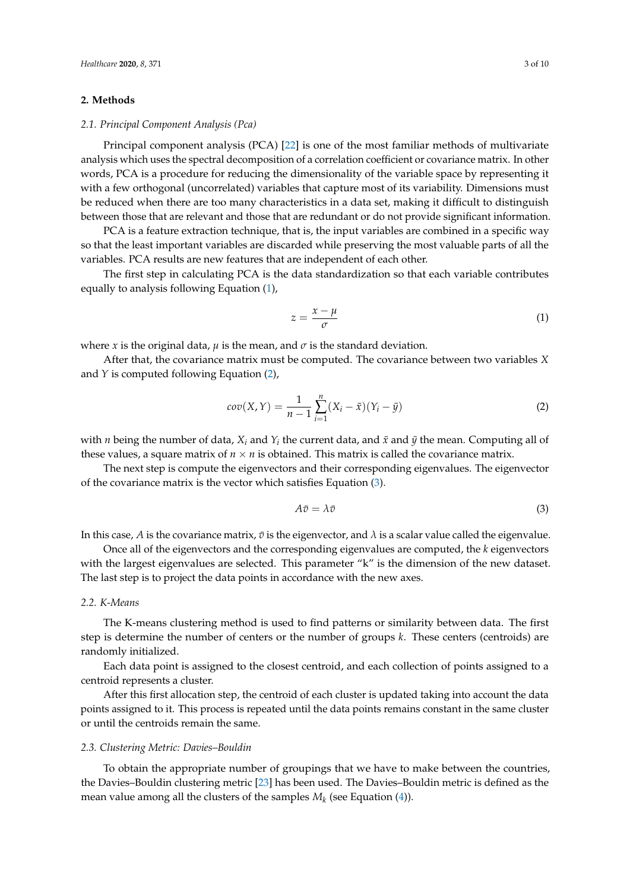## **2. Methods**

### *2.1. Principal Component Analysis (Pca)*

Principal component analysis (PCA) [\[22\]](#page-9-7) is one of the most familiar methods of multivariate analysis which uses the spectral decomposition of a correlation coefficient or covariance matrix. In other words, PCA is a procedure for reducing the dimensionality of the variable space by representing it with a few orthogonal (uncorrelated) variables that capture most of its variability. Dimensions must be reduced when there are too many characteristics in a data set, making it difficult to distinguish between those that are relevant and those that are redundant or do not provide significant information.

PCA is a feature extraction technique, that is, the input variables are combined in a specific way so that the least important variables are discarded while preserving the most valuable parts of all the variables. PCA results are new features that are independent of each other.

The first step in calculating PCA is the data standardization so that each variable contributes equally to analysis following Equation [\(1\)](#page-2-0),

<span id="page-2-0"></span>
$$
z = \frac{x - \mu}{\sigma} \tag{1}
$$

where *x* is the original data,  $\mu$  is the mean, and  $\sigma$  is the standard deviation.

After that, the covariance matrix must be computed. The covariance between two variables *X* and *Y* is computed following Equation [\(2\)](#page-2-1),

<span id="page-2-1"></span>
$$
cov(X,Y) = \frac{1}{n-1} \sum_{i=1}^{n} (X_i - \bar{x})(Y_i - \bar{y})
$$
\n(2)

with *n* being the number of data,  $X_i$  and  $Y_i$  the current data, and  $\bar{x}$  and  $\bar{y}$  the mean. Computing all of these values, a square matrix of  $n \times n$  is obtained. This matrix is called the covariance matrix.

The next step is compute the eigenvectors and their corresponding eigenvalues. The eigenvector of the covariance matrix is the vector which satisfies Equation [\(3\)](#page-2-2).

<span id="page-2-2"></span>
$$
A\bar{v} = \lambda \bar{v} \tag{3}
$$

In this case, *A* is the covariance matrix,  $\bar{v}$  is the eigenvector, and  $\lambda$  is a scalar value called the eigenvalue.

Once all of the eigenvectors and the corresponding eigenvalues are computed, the *k* eigenvectors with the largest eigenvalues are selected. This parameter "k" is the dimension of the new dataset. The last step is to project the data points in accordance with the new axes.

#### *2.2. K-Means*

The K-means clustering method is used to find patterns or similarity between data. The first step is determine the number of centers or the number of groups *k*. These centers (centroids) are randomly initialized.

Each data point is assigned to the closest centroid, and each collection of points assigned to a centroid represents a cluster.

After this first allocation step, the centroid of each cluster is updated taking into account the data points assigned to it. This process is repeated until the data points remains constant in the same cluster or until the centroids remain the same.

#### *2.3. Clustering Metric: Davies–Bouldin*

To obtain the appropriate number of groupings that we have to make between the countries, the Davies–Bouldin clustering metric [\[23\]](#page-9-8) has been used. The Davies–Bouldin metric is defined as the mean value among all the clusters of the samples  $M_k$  (see Equation [\(4\)](#page-3-0)).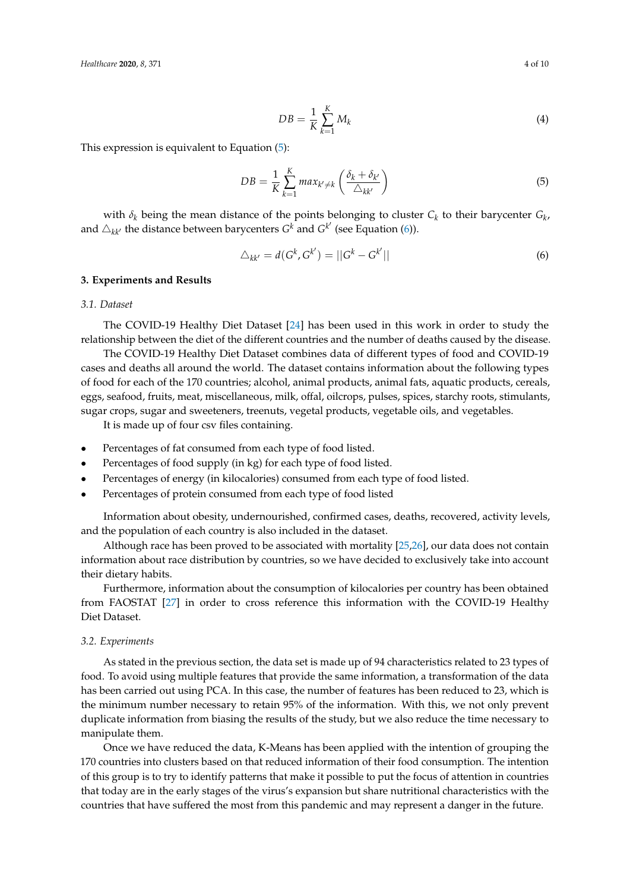This expression is equivalent to Equation [\(5\)](#page-3-1):

<span id="page-3-1"></span><span id="page-3-0"></span>
$$
DB = \frac{1}{K} \sum_{k=1}^{K} max_{k' \neq k} \left( \frac{\delta_k + \delta_{k'}}{\triangle_{kk'}} \right)
$$
(5)

with  $\delta_k$  being the mean distance of the points belonging to cluster  $C_k$  to their barycenter  $G_k$ , and  $\triangle_{kk'}$  the distance between barycenters  $G^k$  and  $G^{k'}$  (see Equation [\(6\)](#page-3-2)).

<span id="page-3-2"></span>
$$
\triangle_{kk'} = d(G^k, G^{k'}) = ||G^k - G^{k'}|| \tag{6}
$$

# **3. Experiments and Results**

#### *3.1. Dataset*

The COVID-19 Healthy Diet Dataset [\[24\]](#page-9-9) has been used in this work in order to study the relationship between the diet of the different countries and the number of deaths caused by the disease.

The COVID-19 Healthy Diet Dataset combines data of different types of food and COVID-19 cases and deaths all around the world. The dataset contains information about the following types of food for each of the 170 countries; alcohol, animal products, animal fats, aquatic products, cereals, eggs, seafood, fruits, meat, miscellaneous, milk, offal, oilcrops, pulses, spices, starchy roots, stimulants, sugar crops, sugar and sweeteners, treenuts, vegetal products, vegetable oils, and vegetables.

It is made up of four csv files containing.

- Percentages of fat consumed from each type of food listed.
- Percentages of food supply (in kg) for each type of food listed.
- Percentages of energy (in kilocalories) consumed from each type of food listed.
- Percentages of protein consumed from each type of food listed

Information about obesity, undernourished, confirmed cases, deaths, recovered, activity levels, and the population of each country is also included in the dataset.

Although race has been proved to be associated with mortality [\[25](#page-9-10)[,26\]](#page-9-11), our data does not contain information about race distribution by countries, so we have decided to exclusively take into account their dietary habits.

Furthermore, information about the consumption of kilocalories per country has been obtained from FAOSTAT [\[27\]](#page-9-12) in order to cross reference this information with the COVID-19 Healthy Diet Dataset.

#### *3.2. Experiments*

As stated in the previous section, the data set is made up of 94 characteristics related to 23 types of food. To avoid using multiple features that provide the same information, a transformation of the data has been carried out using PCA. In this case, the number of features has been reduced to 23, which is the minimum number necessary to retain 95% of the information. With this, we not only prevent duplicate information from biasing the results of the study, but we also reduce the time necessary to manipulate them.

Once we have reduced the data, K-Means has been applied with the intention of grouping the 170 countries into clusters based on that reduced information of their food consumption. The intention of this group is to try to identify patterns that make it possible to put the focus of attention in countries that today are in the early stages of the virus's expansion but share nutritional characteristics with the countries that have suffered the most from this pandemic and may represent a danger in the future.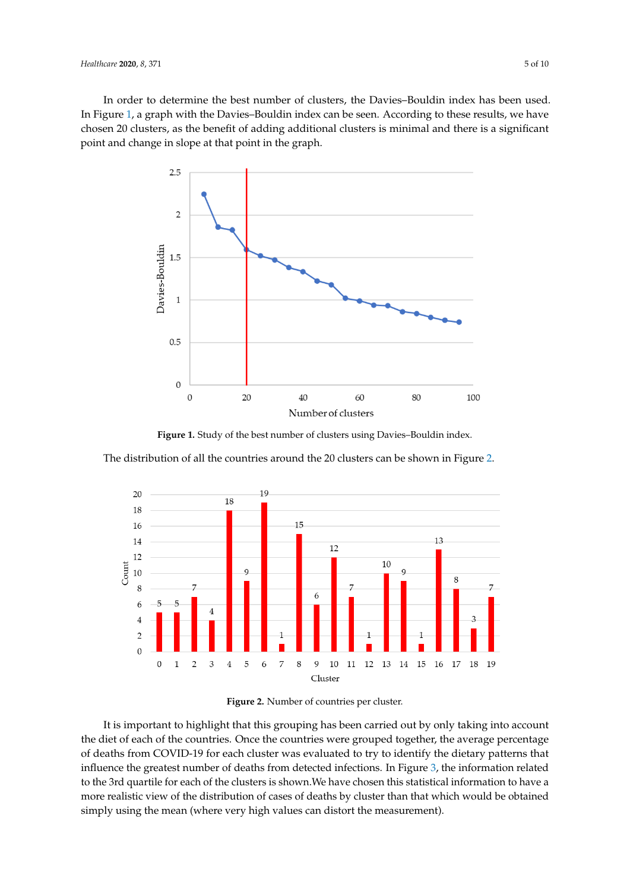<span id="page-4-0"></span>In order to determine the best number of clusters, the Davies–Bouldin index has been used. In Figure [1,](#page-4-0) a graph with the Davies–Bouldin index can be seen. According to these results, we have chosen 20 clusters, as the benefit of adding additional clusters is minimal and there is a significant point and change in slope at that point in the graph.



Figure 1. Study of the best number of clusters using Davies–Bouldin index.

<span id="page-4-1"></span>The distribution of all the countries around the 20 clusters can be shown in Figure [2.](#page-4-1)



**Figure 2.** Number of countries per cluster.

It is important to highlight that this grouping has been carried out by only taking into account the diet of each of the countries. Once the countries were grouped together, the average percentage of deaths from COVID-19 for each cluster was evaluated to try to identify the dietary patterns that influence the greatest number of deaths from detected infections. In Figure [3,](#page-5-0) the information related to the 3rd quartile for each of the clusters is shown.We have chosen this statistical information to have a more realistic view of the distribution of cases of deaths by cluster than that which would be obtained simply using the mean (where very high values can distort the measurement).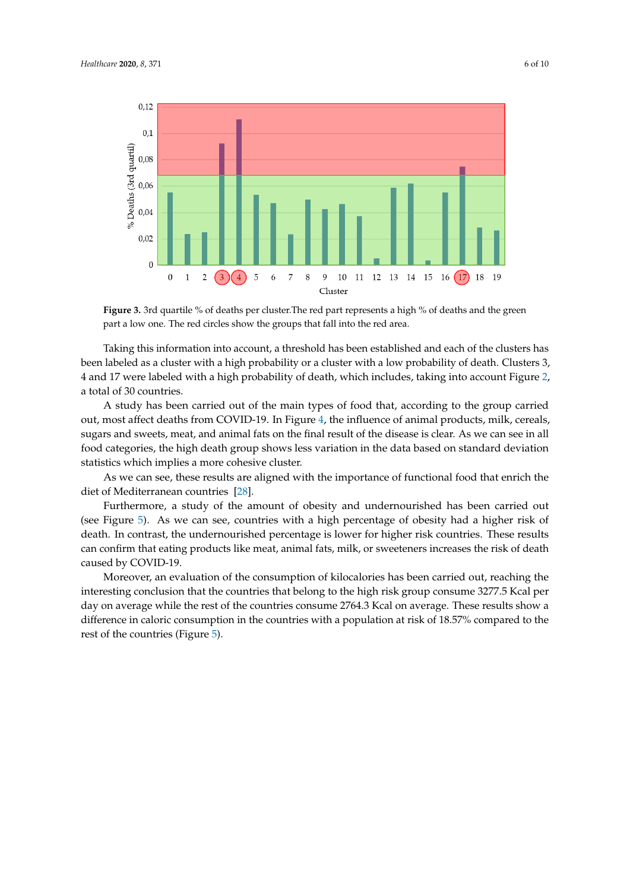<span id="page-5-0"></span>

**Figure 3.** 3rd quartile % of deaths per cluster. The red part represents a high % of deaths and the green part a low one. The red circles show the groups that fall into the red area.

Taking this information into account, a threshold has been established and each of the clusters has been labeled as a cluster with a high probability or a cluster with a low probability of death. Clusters 3, 4 and 17 were labeled with a high probability of death, which includes, taking into account Figure [2,](#page-4-1) a total of 30 countries.

A study has been carried out of the main types of food that, according to the group carried out, most affect deaths from COVID-19. In Figure [4,](#page-6-0) the influence of animal products, milk, cereals, sugars and sweets, meat, and animal fats on the final result of the disease is clear. As we can see in all food categories, the high death group shows less variation in the data based on standard deviation statistics which implies a more cohesive cluster.

As we can see, these results are aligned with the importance of functional food that enrich the diet of Mediterranean countries [\[28\]](#page-9-13).

Furthermore, a study of the amount of obesity and undernourished has been carried out (see Figure [5\)](#page-6-1). As we can see, countries with a high percentage of obesity had a higher risk of death. In contrast, the undernourished percentage is lower for higher risk countries. These results can confirm that eating products like meat, animal fats, milk, or sweeteners increases the risk of death caused by COVID-19.

Moreover, an evaluation of the consumption of kilocalories has been carried out, reaching the interesting conclusion that the countries that belong to the high risk group consume 3277.5 Kcal per day on average while the rest of the countries consume 2764.3 Kcal on average. These results show a difference in caloric consumption in the countries with a population at risk of 18.57% compared to the rest of the countries (Figure [5\)](#page-6-1).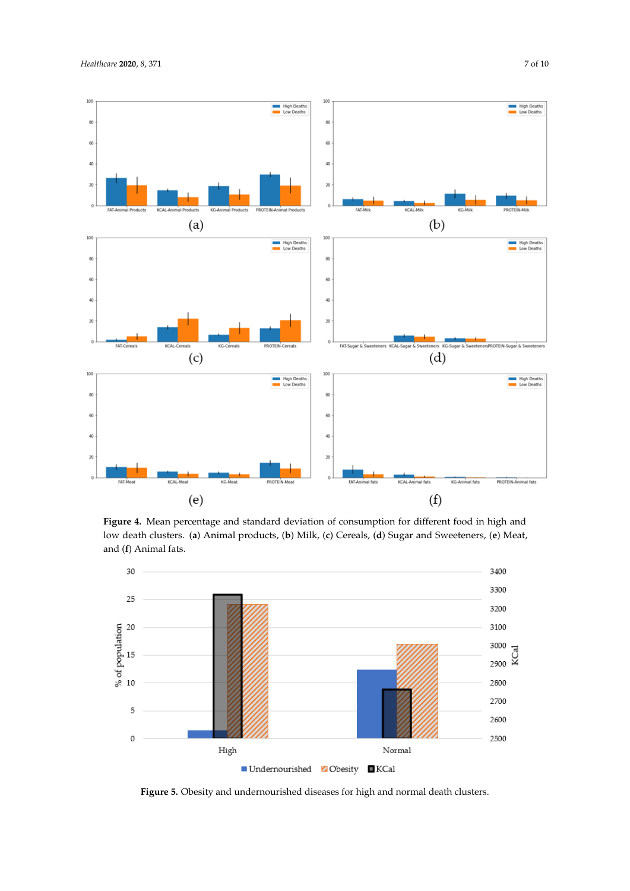<span id="page-6-0"></span>

**Figure 4.** Mean percentage and standard deviation of consumption for different food in high and low death clusters. (**a**) Animal products, (**b**) Milk, (**c**) Cereals, (**d**) Sugar and Sweeteners, (**e**) Meat, and (**f**) Animal fats.

<span id="page-6-1"></span>

**Figure 5.** Obesity and undernourished diseases for high and normal death clusters.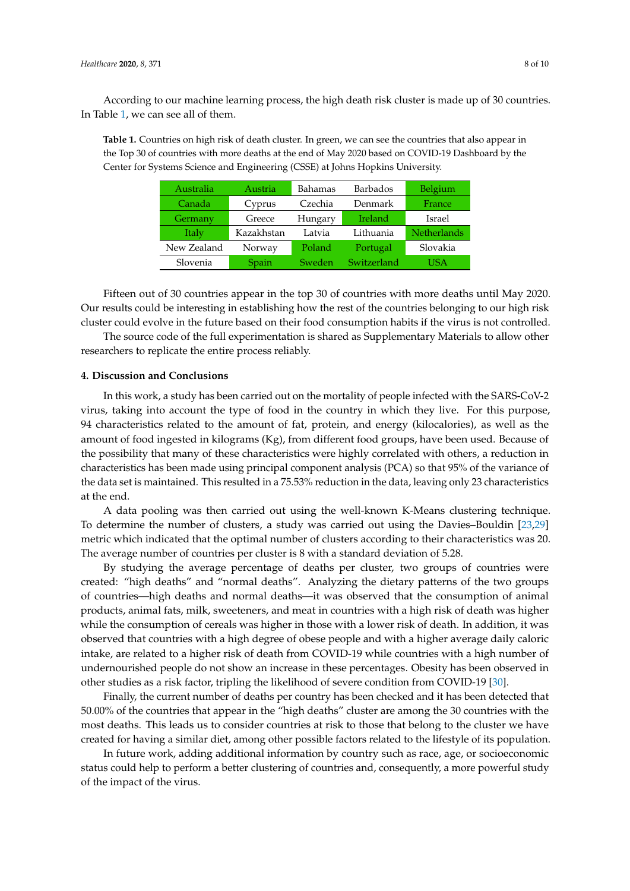According to our machine learning process, the high death risk cluster is made up of 30 countries. In Table [1,](#page-7-0) we can see all of them.

<span id="page-7-0"></span>**Table 1.** Countries on high risk of death cluster. In green, we can see the countries that also appear in the Top 30 of countries with more deaths at the end of May 2020 based on COVID-19 Dashboard by the Center for Systems Science and Engineering (CSSE) at Johns Hopkins University.

| Australia   | Austria    | Bahamas | <b>Barbados</b> | Belgium            |
|-------------|------------|---------|-----------------|--------------------|
| Canada      | Cyprus     | Czechia | Denmark         | France             |
| Germany     | Greece     | Hungary | Ireland         | Israel             |
| Italy       | Kazakhstan | Latvia  | Lithuania       | <b>Netherlands</b> |
| New Zealand | Norway     | Poland  | Portugal        | Slovakia           |
| Slovenia    | Spain      | Sweden  | Switzerland     | USA                |

Fifteen out of 30 countries appear in the top 30 of countries with more deaths until May 2020. Our results could be interesting in establishing how the rest of the countries belonging to our high risk cluster could evolve in the future based on their food consumption habits if the virus is not controlled.

The source code of the full experimentation is shared as Supplementary Materials to allow other researchers to replicate the entire process reliably.

## **4. Discussion and Conclusions**

In this work, a study has been carried out on the mortality of people infected with the SARS-CoV-2 virus, taking into account the type of food in the country in which they live. For this purpose, 94 characteristics related to the amount of fat, protein, and energy (kilocalories), as well as the amount of food ingested in kilograms (Kg), from different food groups, have been used. Because of the possibility that many of these characteristics were highly correlated with others, a reduction in characteristics has been made using principal component analysis (PCA) so that 95% of the variance of the data set is maintained. This resulted in a 75.53% reduction in the data, leaving only 23 characteristics at the end.

A data pooling was then carried out using the well-known K-Means clustering technique. To determine the number of clusters, a study was carried out using the Davies–Bouldin [\[23](#page-9-8)[,29\]](#page-9-14) metric which indicated that the optimal number of clusters according to their characteristics was 20. The average number of countries per cluster is 8 with a standard deviation of 5.28.

By studying the average percentage of deaths per cluster, two groups of countries were created: "high deaths" and "normal deaths". Analyzing the dietary patterns of the two groups of countries—high deaths and normal deaths—it was observed that the consumption of animal products, animal fats, milk, sweeteners, and meat in countries with a high risk of death was higher while the consumption of cereals was higher in those with a lower risk of death. In addition, it was observed that countries with a high degree of obese people and with a higher average daily caloric intake, are related to a higher risk of death from COVID-19 while countries with a high number of undernourished people do not show an increase in these percentages. Obesity has been observed in other studies as a risk factor, tripling the likelihood of severe condition from COVID-19 [\[30\]](#page-9-15).

Finally, the current number of deaths per country has been checked and it has been detected that 50.00% of the countries that appear in the "high deaths" cluster are among the 30 countries with the most deaths. This leads us to consider countries at risk to those that belong to the cluster we have created for having a similar diet, among other possible factors related to the lifestyle of its population.

In future work, adding additional information by country such as race, age, or socioeconomic status could help to perform a better clustering of countries and, consequently, a more powerful study of the impact of the virus.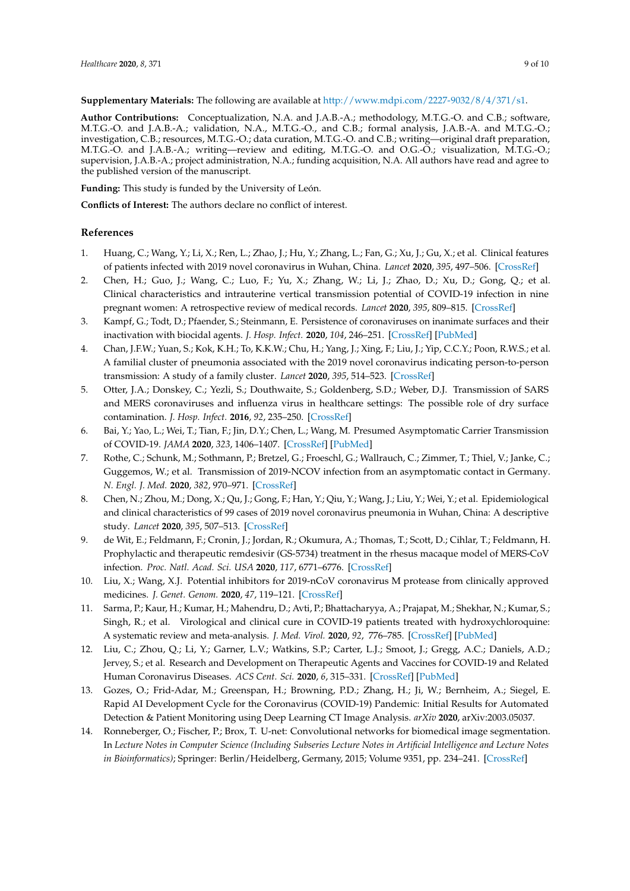**Supplementary Materials:** The following are available at [http://www.mdpi.com/2227-9032/8/4/371/s1.](http://www.mdpi.com/2227-9032/8/4/371/s1)

**Author Contributions:** Conceptualization, N.A. and J.A.B.-A.; methodology, M.T.G.-O. and C.B.; software, M.T.G.-O. and J.A.B.-A.; validation, N.A., M.T.G.-O., and C.B.; formal analysis, J.A.B.-A. and M.T.G.-O.; investigation, C.B.; resources, M.T.G.-O.; data curation, M.T.G.-O. and C.B.; writing—original draft preparation, M.T.G.-O. and J.A.B.-A.; writing—review and editing, M.T.G.-O. and O.G.-O.; visualization, M.T.G.-O.; supervision, J.A.B.-A.; project administration, N.A.; funding acquisition, N.A. All authors have read and agree to the published version of the manuscript.

**Funding:** This study is funded by the University of León.

**Conflicts of Interest:** The authors declare no conflict of interest.

## **References**

- <span id="page-8-0"></span>1. Huang, C.; Wang, Y.; Li, X.; Ren, L.; Zhao, J.; Hu, Y.; Zhang, L.; Fan, G.; Xu, J.; Gu, X.; et al. Clinical features of patients infected with 2019 novel coronavirus in Wuhan, China. *Lancet* **2020**, *395*, 497–506. [\[CrossRef\]](http://dx.doi.org/10.1016/S0140-6736(20)30183-5)
- <span id="page-8-1"></span>2. Chen, H.; Guo, J.; Wang, C.; Luo, F.; Yu, X.; Zhang, W.; Li, J.; Zhao, D.; Xu, D.; Gong, Q.; et al. Clinical characteristics and intrauterine vertical transmission potential of COVID-19 infection in nine pregnant women: A retrospective review of medical records. *Lancet* **2020**, *395*, 809–815. [\[CrossRef\]](http://dx.doi.org/10.1016/S0140-6736(20)30360-3)
- <span id="page-8-2"></span>3. Kampf, G.; Todt, D.; Pfaender, S.; Steinmann, E. Persistence of coronaviruses on inanimate surfaces and their inactivation with biocidal agents. *J. Hosp. Infect.* **2020**, *104*, 246–251. [\[CrossRef\]](http://dx.doi.org/10.1016/j.jhin.2020.01.022) [\[PubMed\]](http://www.ncbi.nlm.nih.gov/pubmed/32035997)
- <span id="page-8-3"></span>4. Chan, J.F.W.; Yuan, S.; Kok, K.H.; To, K.K.W.; Chu, H.; Yang, J.; Xing, F.; Liu, J.; Yip, C.C.Y.; Poon, R.W.S.; et al. A familial cluster of pneumonia associated with the 2019 novel coronavirus indicating person-to-person transmission: A study of a family cluster. *Lancet* **2020**, *395*, 514–523. [\[CrossRef\]](http://dx.doi.org/10.1016/S0140-6736(20)30154-9)
- <span id="page-8-4"></span>5. Otter, J.A.; Donskey, C.; Yezli, S.; Douthwaite, S.; Goldenberg, S.D.; Weber, D.J. Transmission of SARS and MERS coronaviruses and influenza virus in healthcare settings: The possible role of dry surface contamination. *J. Hosp. Infect.* **2016**, *92*, 235–250. [\[CrossRef\]](http://dx.doi.org/10.1016/j.jhin.2015.08.027)
- <span id="page-8-5"></span>6. Bai, Y.; Yao, L.; Wei, T.; Tian, F.; Jin, D.Y.; Chen, L.; Wang, M. Presumed Asymptomatic Carrier Transmission of COVID-19. *JAMA* **2020**, *323*, 1406–1407. [\[CrossRef\]](http://dx.doi.org/10.1001/jama.2020.2565) [\[PubMed\]](http://www.ncbi.nlm.nih.gov/pubmed/32083643)
- <span id="page-8-6"></span>7. Rothe, C.; Schunk, M.; Sothmann, P.; Bretzel, G.; Froeschl, G.; Wallrauch, C.; Zimmer, T.; Thiel, V.; Janke, C.; Guggemos, W.; et al. Transmission of 2019-NCOV infection from an asymptomatic contact in Germany. *N. Engl. J. Med.* **2020**, *382*, 970–971. [\[CrossRef\]](http://dx.doi.org/10.1056/NEJMc2001468)
- <span id="page-8-7"></span>8. Chen, N.; Zhou, M.; Dong, X.; Qu, J.; Gong, F.; Han, Y.; Qiu, Y.; Wang, J.; Liu, Y.; Wei, Y.; et al. Epidemiological and clinical characteristics of 99 cases of 2019 novel coronavirus pneumonia in Wuhan, China: A descriptive study. *Lancet* **2020**, *395*, 507–513. [\[CrossRef\]](http://dx.doi.org/10.1016/S0140-6736(20)30211-7)
- <span id="page-8-8"></span>9. de Wit, E.; Feldmann, F.; Cronin, J.; Jordan, R.; Okumura, A.; Thomas, T.; Scott, D.; Cihlar, T.; Feldmann, H. Prophylactic and therapeutic remdesivir (GS-5734) treatment in the rhesus macaque model of MERS-CoV infection. *Proc. Natl. Acad. Sci. USA* **2020**, *117*, 6771–6776. [\[CrossRef\]](http://dx.doi.org/10.1073/pnas.1922083117)
- <span id="page-8-9"></span>10. Liu, X.; Wang, X.J. Potential inhibitors for 2019-nCoV coronavirus M protease from clinically approved medicines. *J. Genet. Genom.* **2020**, *47*, 119–121. [\[CrossRef\]](http://dx.doi.org/10.1016/j.jgg.2020.02.001)
- <span id="page-8-10"></span>11. Sarma, P.; Kaur, H.; Kumar, H.; Mahendru, D.; Avti, P.; Bhattacharyya, A.; Prajapat, M.; Shekhar, N.; Kumar, S.; Singh, R.; et al. Virological and clinical cure in COVID-19 patients treated with hydroxychloroquine: A systematic review and meta-analysis. *J. Med. Virol.* **2020**, *92*, 776–785. [\[CrossRef\]](http://dx.doi.org/10.1002/jmv.25898) [\[PubMed\]](http://www.ncbi.nlm.nih.gov/pubmed/32297988)
- <span id="page-8-11"></span>12. Liu, C.; Zhou, Q.; Li, Y.; Garner, L.V.; Watkins, S.P.; Carter, L.J.; Smoot, J.; Gregg, A.C.; Daniels, A.D.; Jervey, S.; et al. Research and Development on Therapeutic Agents and Vaccines for COVID-19 and Related Human Coronavirus Diseases. *ACS Cent. Sci.* **2020**, *6*, 315–331. [\[CrossRef\]](http://dx.doi.org/10.1021/acscentsci.0c00272) [\[PubMed\]](http://www.ncbi.nlm.nih.gov/pubmed/32226821)
- <span id="page-8-12"></span>13. Gozes, O.; Frid-Adar, M.; Greenspan, H.; Browning, P.D.; Zhang, H.; Ji, W.; Bernheim, A.; Siegel, E. Rapid AI Development Cycle for the Coronavirus (COVID-19) Pandemic: Initial Results for Automated Detection & Patient Monitoring using Deep Learning CT Image Analysis. *arXiv* **2020**, arXiv:2003.05037.
- <span id="page-8-13"></span>14. Ronneberger, O.; Fischer, P.; Brox, T. U-net: Convolutional networks for biomedical image segmentation. In *Lecture Notes in Computer Science (Including Subseries Lecture Notes in Artificial Intelligence and Lecture Notes in Bioinformatics)*; Springer: Berlin/Heidelberg, Germany, 2015; Volume 9351, pp. 234–241. [\[CrossRef\]](http://dx.doi.org/10.1007/978-3-319-24574-4_28)